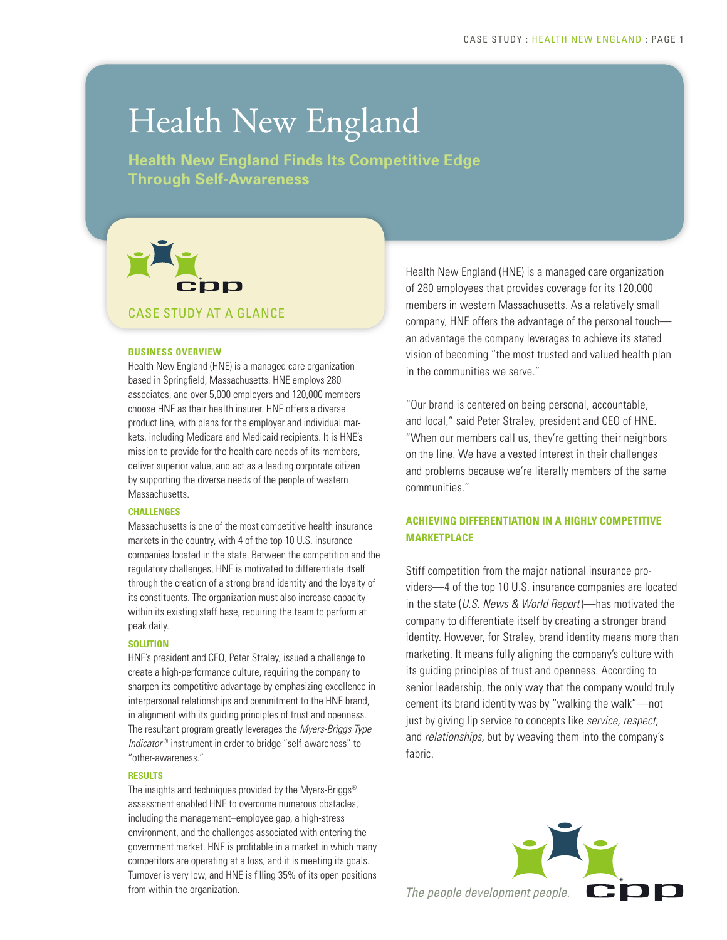## Health New England

**Health New England Finds Its Competitive Edge Through Self-Awareness**

# CDD CASE STUDY AT A GLANCE

#### **BUSINESS OVERVIEW**

Health New England (HNE) is a managed care organization based in Springfield, Massachusetts. HNE employs 280 associates, and over 5,000 employers and 120,000 members choose HNE as their health insurer. HNE offers a diverse product line, with plans for the employer and individual markets, including Medicare and Medicaid recipients. It is HNE's mission to provide for the health care needs of its members, deliver superior value, and act as a leading corporate citizen by supporting the diverse needs of the people of western Massachusetts.

#### **CHALLENGES**

Massachusetts is one of the most competitive health insurance markets in the country, with 4 of the top 10 U.S. insurance companies located in the state. Between the competition and the regulatory challenges, HNE is motivated to differentiate itself through the creation of a strong brand identity and the loyalty of its constituents. The organization must also increase capacity within its existing staff base, requiring the team to perform at peak daily.

#### **SOLUTION**

HNE's president and CEO, Peter Straley, issued a challenge to create a high-performance culture, requiring the company to sharpen its competitive advantage by emphasizing excellence in interpersonal relationships and commitment to the HNE brand, in alignment with its guiding principles of trust and openness. The resultant program greatly leverages the *Myers-Briggs Type Indicator<sup>®</sup>* instrument in order to bridge "self-awareness" to "other-awareness."

#### **RESULTS**

The insights and techniques provided by the Myers-Briggs® assessment enabled HNE to overcome numerous obstacles, including the management–employee gap, a high-stress environment, and the challenges associated with entering the government market. HNE is profitable in a market in which many competitors are operating at a loss, and it is meeting its goals. Turnover is very low, and HNE is filling 35% of its open positions Health New England (HNE) is a managed care organization of 280 employees that provides coverage for its 120,000 members in western Massachusetts. As a relatively small company, HNE offers the advantage of the personal touch an advantage the company leverages to achieve its stated vision of becoming "the most trusted and valued health plan in the communities we serve."

"Our brand is centered on being personal, accountable, and local," said Peter Straley, president and CEO of HNE. "When our members call us, they're getting their neighbors on the line. We have a vested interest in their challenges and problems because we're literally members of the same communities."

#### **ACHIEVING DIFFERENTIATION IN A HIGHLY COMPETITIVE MARKETPLACE**

Stiff competition from the major national insurance providers—4 of the top 10 U.S. insurance companies are located in the state (*U.S. News & World Report*)—has motivated the company to differentiate itself by creating a stronger brand identity. However, for Straley, brand identity means more than marketing. It means fully aligning the company's culture with its guiding principles of trust and openness. According to senior leadership, the only way that the company would truly cement its brand identity was by "walking the walk"—not just by giving lip service to concepts like *service, respect,* and *relationships,* but by weaving them into the company's fabric.

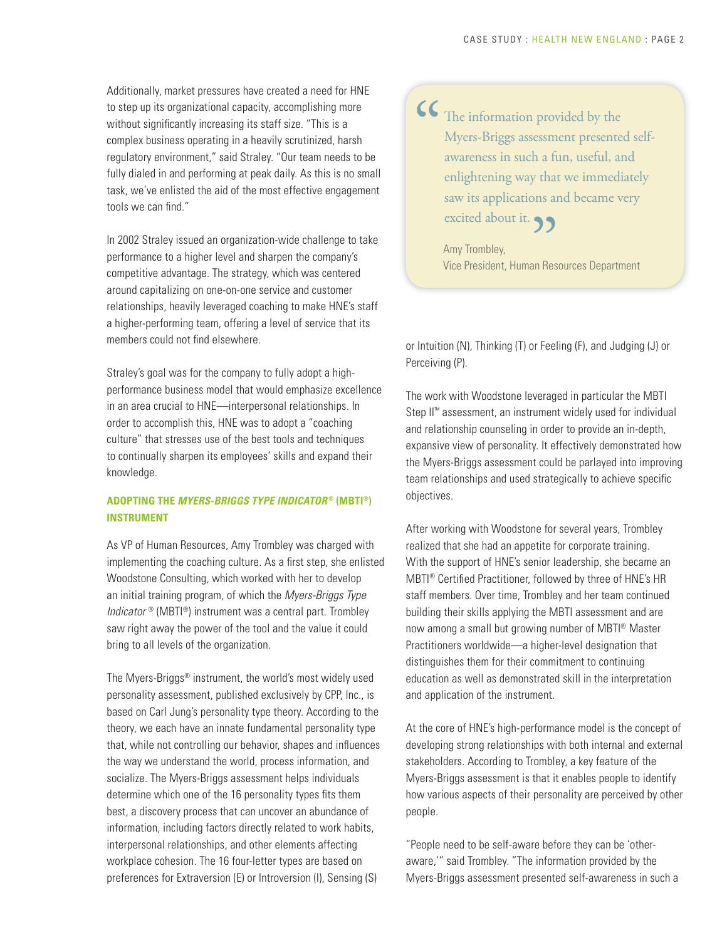Additionally, market pressures have created a need for HNE to step up its organizational capacity, accomplishing more without significantly increasing its staff size. "This is a complex business operating in a heavily scrutinized, harsh regulatory environment," said Straley. "Our team needs to be fully dialed in and performing at peak daily. As this is no small task, we've enlisted the aid of the most effective engagement tools we can find."

In 2002 Straley issued an organization-wide challenge to take performance to a higher level and sharpen the company's competitive advantage. The strategy, which was centered around capitalizing on one-on-one service and customer relationships, heavily leveraged coaching to make HNE's staff a higher-performing team, offering a level of service that its members could not find elsewhere.

Straley's goal was for the company to fully adopt a highperformance business model that would emphasize excellence in an area crucial to HNE—interpersonal relationships. In order to accomplish this, HNE was to adopt a "coaching culture" that stresses use of the best tools and techniques to continually sharpen its employees' skills and expand their knowledge.

#### **ADOPTING THE** *MYERS-BRIGGS TYPE INDICATOR* **® (MBTI®) INSTRUMENT**

As VP of Human Resources, Amy Trombley was charged with implementing the coaching culture. As a first step, she enlisted Woodstone Consulting, which worked with her to develop an initial training program, of which the *Myers-Briggs Type Indicator* ® (MBTI®) instrument was a central part. Trombley saw right away the power of the tool and the value it could bring to all levels of the organization.

The Myers-Briggs® instrument, the world's most widely used personality assessment, published exclusively by CPP, Inc., is based on Carl Jung's personality type theory. According to the theory, we each have an innate fundamental personality type that, while not controlling our behavior, shapes and influences the way we understand the world, process information, and socialize. The Myers-Briggs assessment helps individuals determine which one of the 16 personality types fits them best, a discovery process that can uncover an abundance of information, including factors directly related to work habits, interpersonal relationships, and other elements affecting workplace cohesion. The 16 four-letter types are based on preferences for Extraversion (E) or Introversion (I), Sensing (S)

The information provided by the Myers-Briggs assessment presented selfawareness in such a fun, useful, and enlightening way that we immediately saw its applications and became very  $\frac{1}{\sqrt{2}}$ 

excited about it.<br>Amy Trombley,<br>Vice President, Human Res Amy Trombley, Vice President, Human Resources Department

or Intuition (N), Thinking (T) or Feeling (F), and Judging (J) or Perceiving (P).

The work with Woodstone leveraged in particular the MBTI Step II<sup>™</sup> assessment, an instrument widely used for individual and relationship counseling in order to provide an in-depth, expansive view of personality. It effectively demonstrated how the Myers-Briggs assessment could be parlayed into improving team relationships and used strategically to achieve specific objectives.

After working with Woodstone for several years, Trombley realized that she had an appetite for corporate training. With the support of HNE's senior leadership, she became an MBTI® Certified Practitioner, followed by three of HNE's HR staff members. Over time, Trombley and her team continued building their skills applying the MBTI assessment and are now among a small but growing number of MBTI® Master Practitioners worldwide—a higher-level designation that distinguishes them for their commitment to continuing education as well as demonstrated skill in the interpretation and application of the instrument.

At the core of HNE's high-performance model is the concept of developing strong relationships with both internal and external stakeholders. According to Trombley, a key feature of the Myers-Briggs assessment is that it enables people to identify how various aspects of their personality are perceived by other people.

"People need to be self-aware before they can be 'otheraware,'" said Trombley. "The information provided by the Myers-Briggs assessment presented self-awareness in such a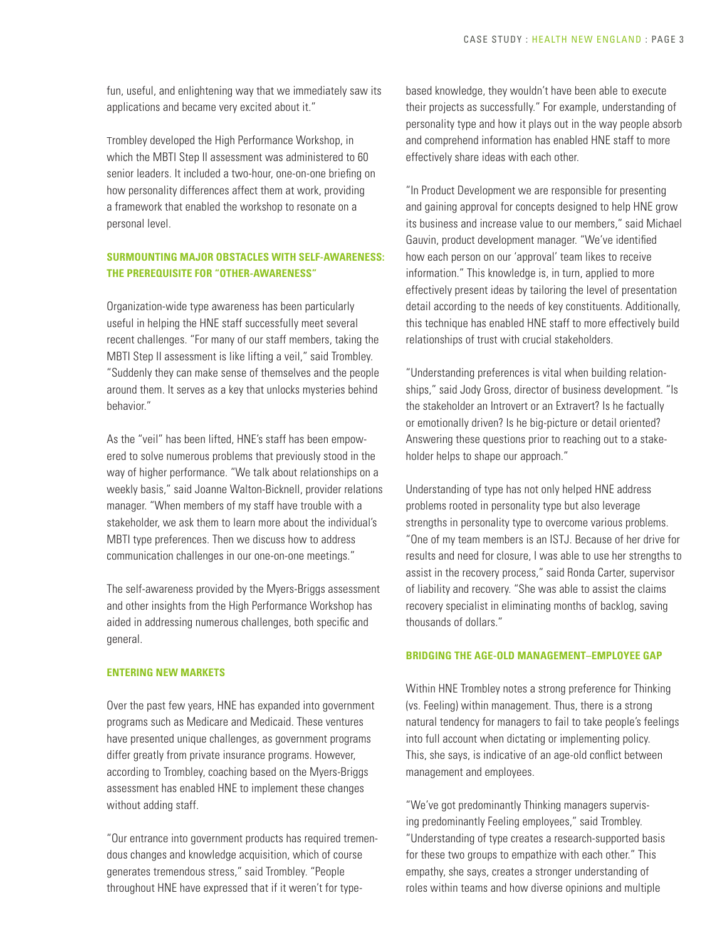fun, useful, and enlightening way that we immediately saw its applications and became very excited about it."

Trombley developed the High Performance Workshop, in which the MBTI Step II assessment was administered to 60 senior leaders. It included a two-hour, one-on-one briefing on how personality differences affect them at work, providing a framework that enabled the workshop to resonate on a personal level.

#### **SURMOUNTING MAJOR OBSTACLES WITH SELF-AWARENESS: THE PREREQUISITE FOR "OTHER-AWARENESS"**

Organization-wide type awareness has been particularly useful in helping the HNE staff successfully meet several recent challenges. "For many of our staff members, taking the MBTI Step II assessment is like lifting a veil," said Trombley. "Suddenly they can make sense of themselves and the people around them. It serves as a key that unlocks mysteries behind behavior."

As the "veil" has been lifted, HNE's staff has been empowered to solve numerous problems that previously stood in the way of higher performance. "We talk about relationships on a weekly basis," said Joanne Walton-Bicknell, provider relations manager. "When members of my staff have trouble with a stakeholder, we ask them to learn more about the individual's MBTI type preferences. Then we discuss how to address communication challenges in our one-on-one meetings."

The self-awareness provided by the Myers-Briggs assessment and other insights from the High Performance Workshop has aided in addressing numerous challenges, both specific and general.

#### **ENTERING NEW MARKETS**

Over the past few years, HNE has expanded into government programs such as Medicare and Medicaid. These ventures have presented unique challenges, as government programs differ greatly from private insurance programs. However, according to Trombley, coaching based on the Myers-Briggs assessment has enabled HNE to implement these changes without adding staff.

"Our entrance into government products has required tremendous changes and knowledge acquisition, which of course generates tremendous stress," said Trombley. "People throughout HNE have expressed that if it weren't for typebased knowledge, they wouldn't have been able to execute their projects as successfully." For example, understanding of personality type and how it plays out in the way people absorb and comprehend information has enabled HNE staff to more effectively share ideas with each other.

"In Product Development we are responsible for presenting and gaining approval for concepts designed to help HNE grow its business and increase value to our members," said Michael Gauvin, product development manager. "We've identified how each person on our 'approval' team likes to receive information." This knowledge is, in turn, applied to more effectively present ideas by tailoring the level of presentation detail according to the needs of key constituents. Additionally, this technique has enabled HNE staff to more effectively build relationships of trust with crucial stakeholders.

"Understanding preferences is vital when building relationships," said Jody Gross, director of business development. "Is the stakeholder an Introvert or an Extravert? Is he factually or emotionally driven? Is he big-picture or detail oriented? Answering these questions prior to reaching out to a stakeholder helps to shape our approach."

Understanding of type has not only helped HNE address problems rooted in personality type but also leverage strengths in personality type to overcome various problems. "One of my team members is an ISTJ. Because of her drive for results and need for closure, I was able to use her strengths to assist in the recovery process," said Ronda Carter, supervisor of liability and recovery. "She was able to assist the claims recovery specialist in eliminating months of backlog, saving thousands of dollars."

#### **BRIDGING THE AGE-OLD MANAGEMENT–EMPLOYEE GAP**

Within HNE Trombley notes a strong preference for Thinking (vs. Feeling) within management. Thus, there is a strong natural tendency for managers to fail to take people's feelings into full account when dictating or implementing policy. This, she says, is indicative of an age-old conflict between management and employees.

"We've got predominantly Thinking managers supervising predominantly Feeling employees," said Trombley. "Understanding of type creates a research-supported basis for these two groups to empathize with each other." This empathy, she says, creates a stronger understanding of roles within teams and how diverse opinions and multiple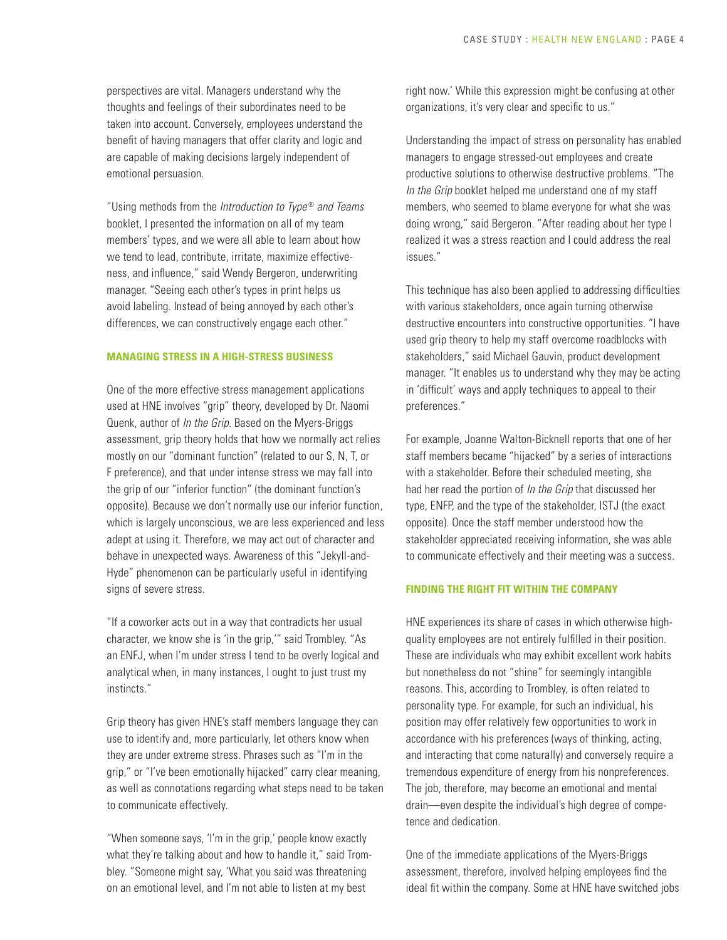perspectives are vital. Managers understand why the thoughts and feelings of their subordinates need to be taken into account. Conversely, employees understand the benefit of having managers that offer clarity and logic and are capable of making decisions largely independent of emotional persuasion.

"Using methods from the *Introduction to Type* ® *and Teams*  booklet, I presented the information on all of my team members' types, and we were all able to learn about how we tend to lead, contribute, irritate, maximize effectiveness, and influence," said Wendy Bergeron, underwriting manager. "Seeing each other's types in print helps us avoid labeling. Instead of being annoyed by each other's differences, we can constructively engage each other."

#### **MANAGING STRESS IN A HIGH-STRESS BUSINESS**

One of the more effective stress management applications used at HNE involves "grip" theory, developed by Dr. Naomi Quenk, author of *In the Grip*. Based on the Myers-Briggs assessment, grip theory holds that how we normally act relies mostly on our "dominant function" (related to our S, N, T, or F preference), and that under intense stress we may fall into the grip of our "inferior function" (the dominant function's opposite). Because we don't normally use our inferior function, which is largely unconscious, we are less experienced and less adept at using it. Therefore, we may act out of character and behave in unexpected ways. Awareness of this "Jekyll-and-Hyde" phenomenon can be particularly useful in identifying signs of severe stress.

"If a coworker acts out in a way that contradicts her usual character, we know she is 'in the grip,'" said Trombley. "As an ENFJ, when I'm under stress I tend to be overly logical and analytical when, in many instances, I ought to just trust my instincts."

Grip theory has given HNE's staff members language they can use to identify and, more particularly, let others know when they are under extreme stress. Phrases such as "I'm in the grip," or "I've been emotionally hijacked" carry clear meaning, as well as connotations regarding what steps need to be taken to communicate effectively.

"When someone says, 'I'm in the grip,' people know exactly what they're talking about and how to handle it," said Trombley. "Someone might say, 'What you said was threatening on an emotional level, and I'm not able to listen at my best

right now.' While this expression might be confusing at other organizations, it's very clear and specific to us."

Understanding the impact of stress on personality has enabled managers to engage stressed-out employees and create productive solutions to otherwise destructive problems. "The *In the Grip* booklet helped me understand one of my staff members, who seemed to blame everyone for what she was doing wrong," said Bergeron. "After reading about her type I realized it was a stress reaction and I could address the real issues."

This technique has also been applied to addressing difficulties with various stakeholders, once again turning otherwise destructive encounters into constructive opportunities. "I have used grip theory to help my staff overcome roadblocks with stakeholders," said Michael Gauvin, product development manager. "It enables us to understand why they may be acting in 'difficult' ways and apply techniques to appeal to their preferences."

For example, Joanne Walton-Bicknell reports that one of her staff members became "hijacked" by a series of interactions with a stakeholder. Before their scheduled meeting, she had her read the portion of *In the Grip* that discussed her type, ENFP, and the type of the stakeholder, ISTJ (the exact opposite). Once the staff member understood how the stakeholder appreciated receiving information, she was able to communicate effectively and their meeting was a success.

#### **FINDING THE RIGHT FIT WITHIN THE COMPANY**

HNE experiences its share of cases in which otherwise highquality employees are not entirely fulfilled in their position. These are individuals who may exhibit excellent work habits but nonetheless do not "shine" for seemingly intangible reasons. This, according to Trombley, is often related to personality type. For example, for such an individual, his position may offer relatively few opportunities to work in accordance with his preferences (ways of thinking, acting, and interacting that come naturally) and conversely require a tremendous expenditure of energy from his nonpreferences. The job, therefore, may become an emotional and mental drain—even despite the individual's high degree of competence and dedication.

One of the immediate applications of the Myers-Briggs assessment, therefore, involved helping employees find the ideal fit within the company. Some at HNE have switched jobs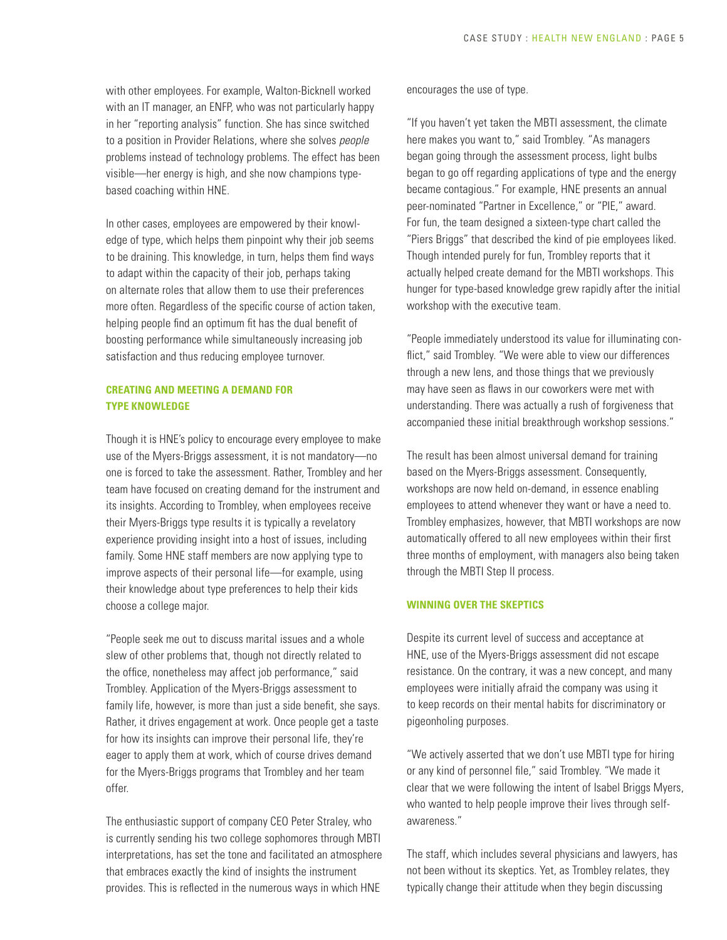with other employees. For example, Walton-Bicknell worked with an IT manager, an ENFP, who was not particularly happy in her "reporting analysis" function. She has since switched to a position in Provider Relations, where she solves *people* problems instead of technology problems. The effect has been visible—her energy is high, and she now champions typebased coaching within HNE.

In other cases, employees are empowered by their knowledge of type, which helps them pinpoint why their job seems to be draining. This knowledge, in turn, helps them find ways to adapt within the capacity of their job, perhaps taking on alternate roles that allow them to use their preferences more often. Regardless of the specific course of action taken, helping people find an optimum fit has the dual benefit of boosting performance while simultaneously increasing job satisfaction and thus reducing employee turnover.

#### **CREATING AND MEETING A DEMAND FOR TYPE KNOWLEDGE**

Though it is HNE's policy to encourage every employee to make use of the Myers-Briggs assessment, it is not mandatory—no one is forced to take the assessment. Rather, Trombley and her team have focused on creating demand for the instrument and its insights. According to Trombley, when employees receive their Myers-Briggs type results it is typically a revelatory experience providing insight into a host of issues, including family. Some HNE staff members are now applying type to improve aspects of their personal life—for example, using their knowledge about type preferences to help their kids choose a college major.

"People seek me out to discuss marital issues and a whole slew of other problems that, though not directly related to the office, nonetheless may affect job performance," said Trombley. Application of the Myers-Briggs assessment to family life, however, is more than just a side benefit, she says. Rather, it drives engagement at work. Once people get a taste for how its insights can improve their personal life, they're eager to apply them at work, which of course drives demand for the Myers-Briggs programs that Trombley and her team offer.

The enthusiastic support of company CEO Peter Straley, who is currently sending his two college sophomores through MBTI interpretations, has set the tone and facilitated an atmosphere that embraces exactly the kind of insights the instrument provides. This is reflected in the numerous ways in which HNE

encourages the use of type.

"If you haven't yet taken the MBTI assessment, the climate here makes you want to," said Trombley. "As managers began going through the assessment process, light bulbs began to go off regarding applications of type and the energy became contagious." For example, HNE presents an annual peer-nominated "Partner in Excellence," or "PIE," award. For fun, the team designed a sixteen-type chart called the "Piers Briggs" that described the kind of pie employees liked. Though intended purely for fun, Trombley reports that it actually helped create demand for the MBTI workshops. This hunger for type-based knowledge grew rapidly after the initial workshop with the executive team.

"People immediately understood its value for illuminating conflict," said Trombley. "We were able to view our differences through a new lens, and those things that we previously may have seen as flaws in our coworkers were met with understanding. There was actually a rush of forgiveness that accompanied these initial breakthrough workshop sessions."

The result has been almost universal demand for training based on the Myers-Briggs assessment. Consequently, workshops are now held on-demand, in essence enabling employees to attend whenever they want or have a need to. Trombley emphasizes, however, that MBTI workshops are now automatically offered to all new employees within their first three months of employment, with managers also being taken through the MBTI Step II process.

#### **WINNING OVER THE SKEPTICS**

Despite its current level of success and acceptance at HNE, use of the Myers-Briggs assessment did not escape resistance. On the contrary, it was a new concept, and many employees were initially afraid the company was using it to keep records on their mental habits for discriminatory or pigeonholing purposes.

"We actively asserted that we don't use MBTI type for hiring or any kind of personnel file," said Trombley. "We made it clear that we were following the intent of Isabel Briggs Myers, who wanted to help people improve their lives through selfawareness."

The staff, which includes several physicians and lawyers, has not been without its skeptics. Yet, as Trombley relates, they typically change their attitude when they begin discussing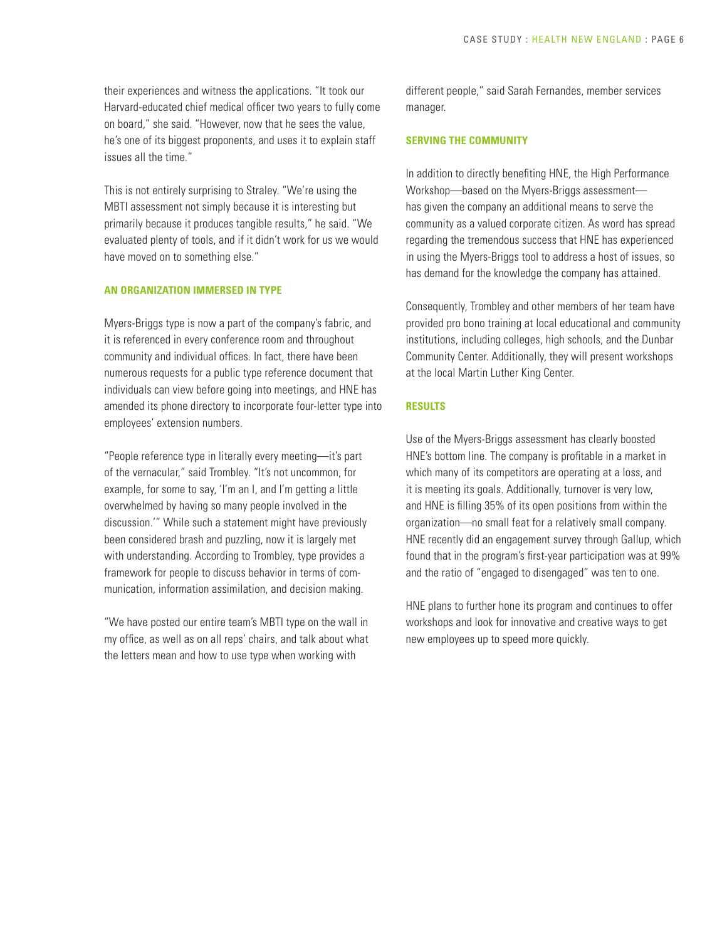their experiences and witness the applications. "It took our Harvard-educated chief medical officer two years to fully come on board," she said. "However, now that he sees the value, he's one of its biggest proponents, and uses it to explain staff issues all the time."

This is not entirely surprising to Straley. "We're using the MBTI assessment not simply because it is interesting but primarily because it produces tangible results," he said. "We evaluated plenty of tools, and if it didn't work for us we would have moved on to something else."

#### **AN ORGANIZATION IMMERSED IN TYPE**

Myers-Briggs type is now a part of the company's fabric, and it is referenced in every conference room and throughout community and individual offices. In fact, there have been numerous requests for a public type reference document that individuals can view before going into meetings, and HNE has amended its phone directory to incorporate four-letter type into employees' extension numbers.

"People reference type in literally every meeting—it's part of the vernacular," said Trombley. "It's not uncommon, for example, for some to say, 'I'm an I, and I'm getting a little overwhelmed by having so many people involved in the discussion.'" While such a statement might have previously been considered brash and puzzling, now it is largely met with understanding. According to Trombley, type provides a framework for people to discuss behavior in terms of communication, information assimilation, and decision making.

"We have posted our entire team's MBTI type on the wall in my office, as well as on all reps' chairs, and talk about what the letters mean and how to use type when working with

different people," said Sarah Fernandes, member services manager.

#### **SERVING THE COMMUNITY**

In addition to directly benefiting HNE, the High Performance Workshop—based on the Myers-Briggs assessment has given the company an additional means to serve the community as a valued corporate citizen. As word has spread regarding the tremendous success that HNE has experienced in using the Myers-Briggs tool to address a host of issues, so has demand for the knowledge the company has attained.

Consequently, Trombley and other members of her team have provided pro bono training at local educational and community institutions, including colleges, high schools, and the Dunbar Community Center. Additionally, they will present workshops at the local Martin Luther King Center.

#### **RESULTS**

Use of the Myers-Briggs assessment has clearly boosted HNE's bottom line. The company is profitable in a market in which many of its competitors are operating at a loss, and it is meeting its goals. Additionally, turnover is very low, and HNE is filling 35% of its open positions from within the organization—no small feat for a relatively small company. HNE recently did an engagement survey through Gallup, which found that in the program's first-year participation was at 99% and the ratio of "engaged to disengaged" was ten to one.

HNE plans to further hone its program and continues to offer workshops and look for innovative and creative ways to get new employees up to speed more quickly.